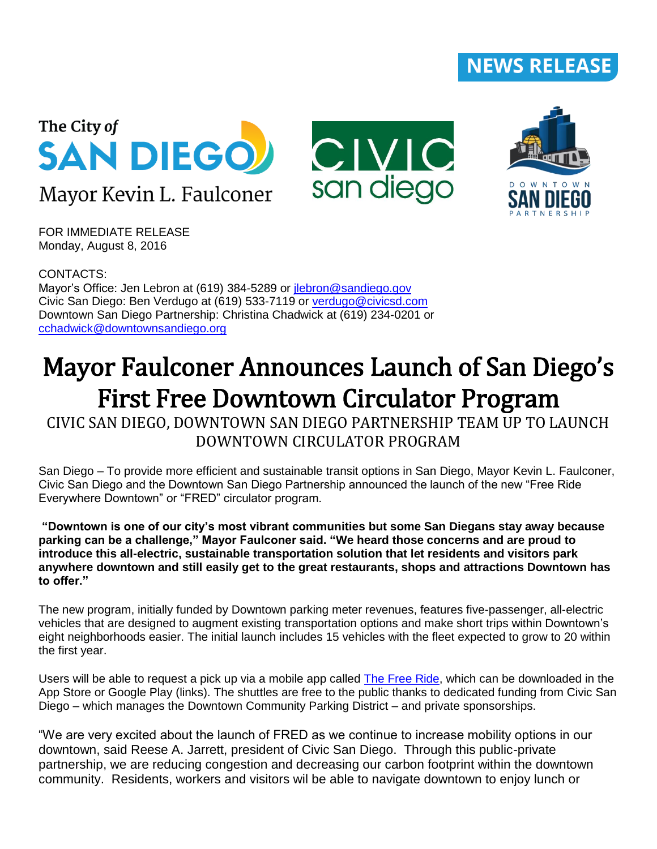## **NEWS RELEASE**







FOR IMMEDIATE RELEASE Monday, August 8, 2016

CONTACTS: Mayor's Office: Jen Lebron at (619) 384-5289 or *ilebron@sandiego.gov* Civic San Diego: Ben Verdugo at (619) 533-7119 or [verdugo@civicsd.com](mailto:verdugo@civicsd.com) Downtown San Diego Partnership: Christina Chadwick at (619) 234-0201 or [cchadwick@downtownsandiego.org](mailto:cchadwick@downtownsandiego.org)

## Mayor Faulconer Announces Launch of San Diego's First Free Downtown Circulator Program

CIVIC SAN DIEGO, DOWNTOWN SAN DIEGO PARTNERSHIP TEAM UP TO LAUNCH DOWNTOWN CIRCULATOR PROGRAM

San Diego – To provide more efficient and sustainable transit options in San Diego, Mayor Kevin L. Faulconer, Civic San Diego and the Downtown San Diego Partnership announced the launch of the new "Free Ride Everywhere Downtown" or "FRED" circulator program.

**"Downtown is one of our city's most vibrant communities but some San Diegans stay away because parking can be a challenge," Mayor Faulconer said. "We heard those concerns and are proud to introduce this all-electric, sustainable transportation solution that let residents and visitors park anywhere downtown and still easily get to the great restaurants, shops and attractions Downtown has to offer."**

The new program, initially funded by Downtown parking meter revenues, features five-passenger, all-electric vehicles that are designed to augment existing transportation options and make short trips within Downtown's eight neighborhoods easier. The initial launch includes 15 vehicles with the fleet expected to grow to 20 within the first year.

Users will be able to request a pick up via a mobile app called [The Free Ride,](http://www.thefreeride.com/san-diego.php) which can be downloaded in the App Store or Google Play (links). The shuttles are free to the public thanks to dedicated funding from Civic San Diego – which manages the Downtown Community Parking District – and private sponsorships.

"We are very excited about the launch of FRED as we continue to increase mobility options in our downtown, said Reese A. Jarrett, president of Civic San Diego. Through this public-private partnership, we are reducing congestion and decreasing our carbon footprint within the downtown community. Residents, workers and visitors wil be able to navigate downtown to enjoy lunch or